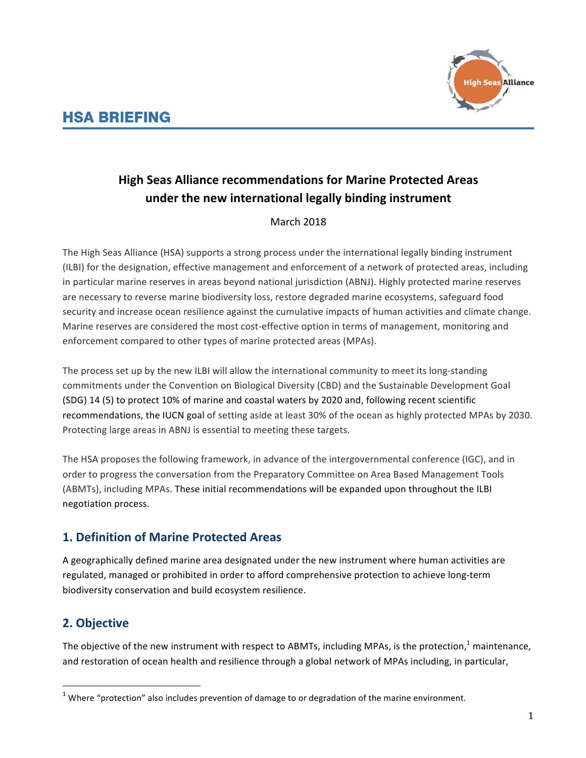# **HSA BRIEFING**



# **High Seas Alliance recommendations for Marine Protected Areas** under the new international legally binding instrument

#### March 2018

The High Seas Alliance (HSA) supports a strong process under the international legally binding instrument (ILBI) for the designation, effective management and enforcement of a network of protected areas, including in particular marine reserves in areas beyond national jurisdiction (ABNJ). Highly protected marine reserves are necessary to reverse marine biodiversity loss, restore degraded marine ecosystems, safeguard food security and increase ocean resilience against the cumulative impacts of human activities and climate change. Marine reserves are considered the most cost-effective option in terms of management, monitoring and enforcement compared to other types of marine protected areas (MPAs).

The process set up by the new ILBI will allow the international community to meet its long-standing commitments under the Convention on Biological Diversity (CBD) and the Sustainable Development Goal (SDG) 14 (5) to protect 10% of marine and coastal waters by 2020 and, following recent scientific recommendations, the IUCN goal of setting aside at least 30% of the ocean as highly protected MPAs by 2030. Protecting large areas in ABNJ is essential to meeting these targets.

The HSA proposes the following framework, in advance of the intergovernmental conference (IGC), and in order to progress the conversation from the Preparatory Committee on Area Based Management Tools (ABMTs), including MPAs. These initial recommendations will be expanded upon throughout the ILBI negotiation process.

# **1. Definition of Marine Protected Areas**

A geographically defined marine area designated under the new instrument where human activities are regulated, managed or prohibited in order to afford comprehensive protection to achieve long-term biodiversity conservation and build ecosystem resilience.

# **2. Objective**

The objective of the new instrument with respect to ABMTs, including MPAs, is the protection,<sup>1</sup> maintenance, and restoration of ocean health and resilience through a global network of MPAs including, in particular,

 $1$  Where "protection" also includes prevention of damage to or degradation of the marine environment.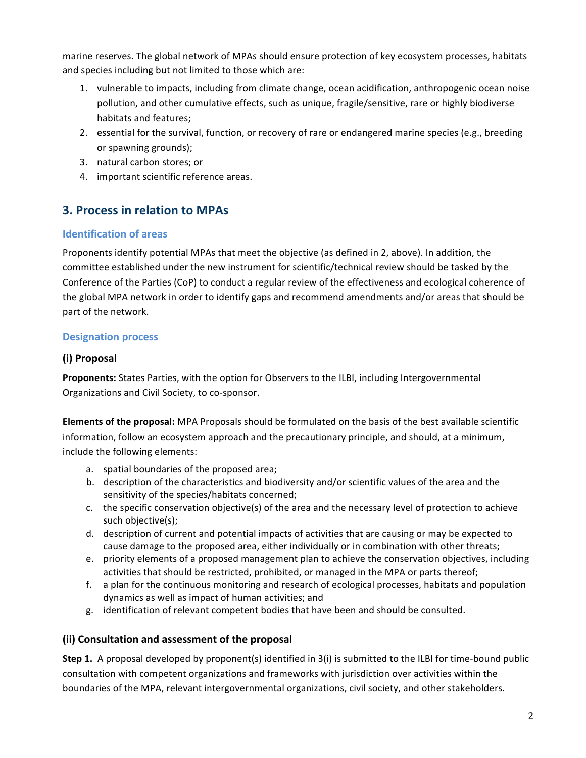marine reserves. The global network of MPAs should ensure protection of key ecosystem processes, habitats and species including but not limited to those which are:

- 1. vulnerable to impacts, including from climate change, ocean acidification, anthropogenic ocean noise pollution, and other cumulative effects, such as unique, fragile/sensitive, rare or highly biodiverse habitats and features:
- 2. essential for the survival, function, or recovery of rare or endangered marine species (e.g., breeding or spawning grounds);
- 3. natural carbon stores; or
- 4. important scientific reference areas.

## **3. Process in relation to MPAs**

#### **Identification of areas**

Proponents identify potential MPAs that meet the objective (as defined in 2, above). In addition, the committee established under the new instrument for scientific/technical review should be tasked by the Conference of the Parties (CoP) to conduct a regular review of the effectiveness and ecological coherence of the global MPA network in order to identify gaps and recommend amendments and/or areas that should be part of the network.

#### **Designation process**

#### **(i) Proposal**

Proponents: States Parties, with the option for Observers to the ILBI, including Intergovernmental Organizations and Civil Society, to co-sponsor.

**Elements of the proposal:** MPA Proposals should be formulated on the basis of the best available scientific information, follow an ecosystem approach and the precautionary principle, and should, at a minimum, include the following elements:

- a. spatial boundaries of the proposed area;
- b. description of the characteristics and biodiversity and/or scientific values of the area and the sensitivity of the species/habitats concerned;
- c. the specific conservation objective(s) of the area and the necessary level of protection to achieve such objective(s);
- d. description of current and potential impacts of activities that are causing or may be expected to cause damage to the proposed area, either individually or in combination with other threats;
- e. priority elements of a proposed management plan to achieve the conservation objectives, including activities that should be restricted, prohibited, or managed in the MPA or parts thereof;
- f. a plan for the continuous monitoring and research of ecological processes, habitats and population dynamics as well as impact of human activities; and
- g. identification of relevant competent bodies that have been and should be consulted.

#### **(ii) Consultation and assessment of the proposal**

**Step 1.** A proposal developed by proponent(s) identified in 3(i) is submitted to the ILBI for time-bound public consultation with competent organizations and frameworks with jurisdiction over activities within the boundaries of the MPA, relevant intergovernmental organizations, civil society, and other stakeholders.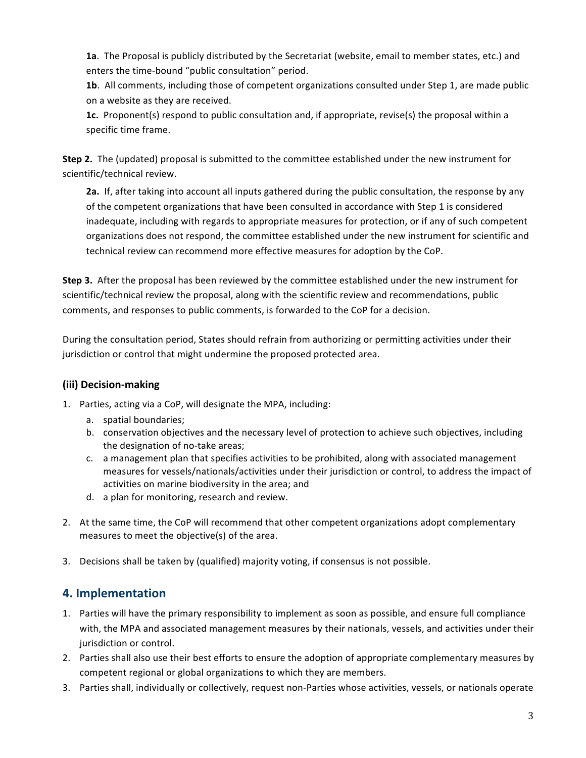1a. The Proposal is publicly distributed by the Secretariat (website, email to member states, etc.) and enters the time-bound "public consultation" period.

**1b.** All comments, including those of competent organizations consulted under Step 1, are made public on a website as they are received.

**1c.** Proponent(s) respond to public consultation and, if appropriate, revise(s) the proposal within a specific time frame.

**Step 2.** The (updated) proposal is submitted to the committee established under the new instrument for scientific/technical review.

**2a.** If, after taking into account all inputs gathered during the public consultation, the response by any of the competent organizations that have been consulted in accordance with Step 1 is considered inadequate, including with regards to appropriate measures for protection, or if any of such competent organizations does not respond, the committee established under the new instrument for scientific and technical review can recommend more effective measures for adoption by the CoP.

**Step 3.** After the proposal has been reviewed by the committee established under the new instrument for scientific/technical review the proposal, along with the scientific review and recommendations, public comments, and responses to public comments, is forwarded to the CoP for a decision.

During the consultation period, States should refrain from authorizing or permitting activities under their jurisdiction or control that might undermine the proposed protected area.

#### **(iii) Decision-making**

- 1. Parties, acting via a CoP, will designate the MPA, including:
	- a. spatial boundaries;
	- b. conservation objectives and the necessary level of protection to achieve such objectives, including the designation of no-take areas;
	- c. a management plan that specifies activities to be prohibited, along with associated management measures for vessels/nationals/activities under their jurisdiction or control, to address the impact of activities on marine biodiversity in the area; and
	- d. a plan for monitoring, research and review.
- 2. At the same time, the CoP will recommend that other competent organizations adopt complementary measures to meet the objective(s) of the area.
- 3. Decisions shall be taken by (qualified) majority voting, if consensus is not possible.

## **4. Implementation**

- 1. Parties will have the primary responsibility to implement as soon as possible, and ensure full compliance with, the MPA and associated management measures by their nationals, vessels, and activities under their jurisdiction or control.
- 2. Parties shall also use their best efforts to ensure the adoption of appropriate complementary measures by competent regional or global organizations to which they are members.
- 3. Parties shall, individually or collectively, request non-Parties whose activities, vessels, or nationals operate